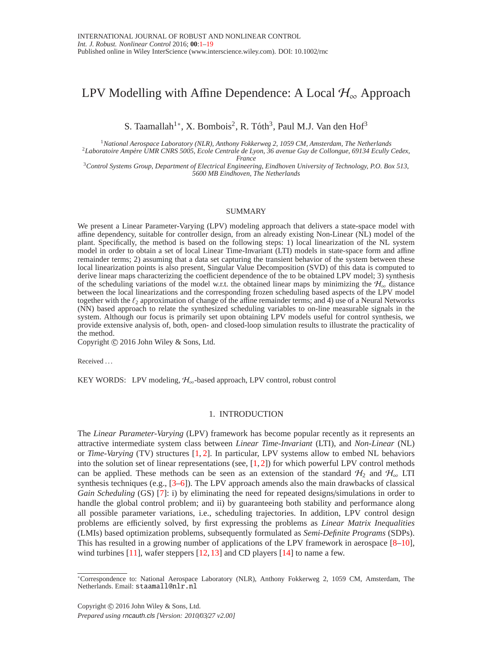# <span id="page-0-0"></span>LPV Modelling with Affine Dependence: A Local  $\mathcal{H}_{\infty}$  Approach

S. Taamallah<sup>1</sup>\*, X. Bombois<sup>2</sup>, R. Tóth<sup>3</sup>, Paul M.J. Van den Hof<sup>3</sup>

<sup>1</sup>*National Aerospace Laboratory (NLR), Anthony Fokkerweg 2, 1059 CM, Amsterdam, The Netherlands*

<sup>2</sup>*Laboratoire Amp`ere UMR CNRS 5005, Ecole Centrale de Lyon, 36 avenue Guy de Collongue, 69134 Ecully Cedex, France*

<sup>3</sup>*Control Systems Group, Department of Electrical Engineering, Eindhoven University of Technology, P.O. Box 513, 5600 MB Eindhoven, The Netherlands*

#### SUMMARY

We present a Linear Parameter-Varying (LPV) modeling approach that delivers a state-space model with affine dependency, suitable for controller design, from an already existing Non-Linear (NL) model of the plant. Specifically, the method is based on the following steps: 1) local linearization of the NL system model in order to obtain a set of local Linear Time-Invariant (LTI) models in state-space form and affine remainder terms; 2) assuming that a data set capturing the transient behavior of the system between these local linearization points is also present, Singular Value Decomposition (SVD) of this data is computed to derive linear maps characterizing the coefficient dependence of the to be obtained LPV model; 3) synthesis of the scheduling variations of the model w.r.t. the obtained linear maps by minimizing the  $\mathcal{H}_{\infty}$  distance between the local linearizations and the corresponding frozen scheduling based aspects of the LPV model together with the  $\ell_2$  approximation of change of the affine remainder terms; and 4) use of a Neural Networks (NN) based approach to relate the synthesized scheduling variables to on-line measurable signals in the system. Although our focus is primarily set upon obtaining LPV models useful for control synthesis, we provide extensive analysis of, both, open- and closed-loop simulation results to illustrate the practicality of the method.

Copyright © 2016 John Wiley & Sons, Ltd.

Received . . .

<span id="page-0-1"></span>KEY WORDS: LPV modeling,  $H_{\infty}$ -based approach, LPV control, robust control

# 1. INTRODUCTION

The *Linear Parameter-Varying* (LPV) framework has become popular recently as it represents an attractive intermediate system class between *Linear Time-Invariant* (LTI), and *Non-Linear* (NL) or *Time-Varying* (TV) structures [\[1,](#page-17-1) [2\]](#page-17-2). In particular, LPV systems allow to embed NL behaviors into the solution set of linear representations (see,  $[1, 2]$  $[1, 2]$ ) for which powerful LPV control methods can be applied. These methods can be seen as an extension of the standard  $H_2$  and  $H_{\infty}$  LTI synthesis techniques (e.g., [\[3](#page-17-3)[–6\]](#page-17-4)). The LPV approach amends also the main drawbacks of classical *Gain Scheduling* (GS) [\[7\]](#page-17-5): i) by eliminating the need for repeated designs/simulations in order to handle the global control problem; and ii) by guaranteeing both stability and performance along all possible parameter variations, i.e., scheduling trajectories. In addition, LPV control design problems are efficiently solved, by first expressing the problems as *Linear Matrix Inequalities* (LMIs) based optimization problems, subsequently formulated as *Semi-Definite Programs* (SDPs). This has resulted in a growing number of applications of the LPV framework in aerospace  $[8-10]$  $[8-10]$ , wind turbines [\[11\]](#page-17-8), wafer steppers [\[12,](#page-17-9) [13\]](#page-17-10) and CD players [\[14\]](#page-17-11) to name a few.

<sup>∗</sup>Correspondence to: National Aerospace Laboratory (NLR), Anthony Fokkerweg 2, 1059 CM, Amsterdam, The Netherlands. Email: staamall@nlr.nl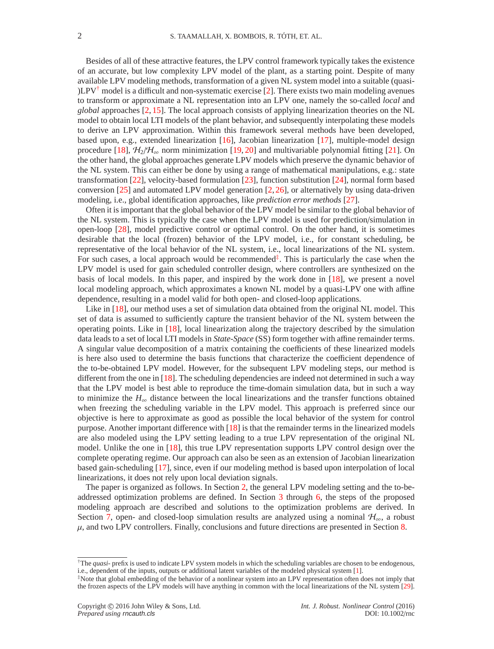Besides of all of these attractive features, the LPV control framework typically takes the existence of an accurate, but low complexity LPV model of the plant, as a starting point. Despite of many available LPV modeling methods, transformation of a given NL system model into a suitable (quasi- )LPV<sup> $\dagger$ </sup> model is a difficult and non-systematic exercise [\[2\]](#page-17-2). There exists two main modeling avenues to transform or approximate a NL representation into an LPV one, namely the so-called *local* and *global* approaches [\[2,](#page-17-2) [15\]](#page-17-12). The local approach consists of applying linearization theories on the NL model to obtain local LTI models of the plant behavior, and subsequently interpolating these models to derive an LPV approximation. Within this framework several methods have been developed, based upon, e.g., extended linearization [\[16\]](#page-17-13), Jacobian linearization [\[17\]](#page-17-14), multiple-model design procedure [\[18\]](#page-17-15),  $H_2/H_{\infty}$  norm minimization [\[19,](#page-17-16) [20\]](#page-17-17) and multivariable polynomial fitting [\[21\]](#page-17-18). On the other hand, the global approaches generate LPV models which preserve the dynamic behavior of the NL system. This can either be done by using a range of mathematical manipulations, e.g.: state transformation [\[22\]](#page-18-0), velocity-based formulation [\[23\]](#page-18-1), function substitution [\[24\]](#page-18-2), normal form based conversion  $[25]$  and automated LPV model generation  $[2, 26]$  $[2, 26]$ , or alternatively by using data-driven modeling, i.e., global identification approaches, like *prediction error methods* [\[27\]](#page-18-5).

Often it is important that the global behavior of the LPV model be similar to the global behavior of the NL system. This is typically the case when the LPV model is used for prediction/simulation in open-loop [\[28\]](#page-18-6), model predictive control or optimal control. On the other hand, it is sometimes desirable that the local (frozen) behavior of the LPV model, i.e., for constant scheduling, be representative of the local behavior of the NL system, i.e., local linearizations of the NL system. For such cases, a local approach would be recommended<sup> $\ddagger$ </sup>. This is particularly the case when the LPV model is used for gain scheduled controller design, where controllers are synthesized on the basis of local models. In this paper, and inspired by the work done in [\[18\]](#page-17-15), we present a novel local modeling approach, which approximates a known NL model by a quasi-LPV one with affine dependence, resulting in a model valid for both open- and closed-loop applications.

Like in [\[18\]](#page-17-15), our method uses a set of simulation data obtained from the original NL model. This set of data is assumed to sufficiently capture the transient behavior of the NL system between the operating points. Like in [\[18\]](#page-17-15), local linearization along the trajectory described by the simulation data leads to a set of local LTI models in *State-Space* (SS) form together with affine remainder terms. A singular value decomposition of a matrix containing the coefficients of these linearized models is here also used to determine the basis functions that characterize the coefficient dependence of the to-be-obtained LPV model. However, for the subsequent LPV modeling steps, our method is different from the one in  $[18]$ . The scheduling dependencies are indeed not determined in such a way that the LPV model is best able to reproduce the time-domain simulation data, but in such a way to minimize the  $H_{\infty}$  distance between the local linearizations and the transfer functions obtained when freezing the scheduling variable in the LPV model. This approach is preferred since our objective is here to approximate as good as possible the local behavior of the system for control purpose. Another important difference with [\[18\]](#page-17-15) is that the remainder terms in the linearized models are also modeled using the LPV setting leading to a true LPV representation of the original NL model. Unlike the one in [\[18\]](#page-17-15), this true LPV representation supports LPV control design over the complete operating regime. Our approach can also be seen as an extension of Jacobian linearization based gain-scheduling [\[17\]](#page-17-14), since, even if our modeling method is based upon interpolation of local linearizations, it does not rely upon local deviation signals.

The paper is organized as follows. In Section [2,](#page-2-0) the general LPV modeling setting and the to-beaddressed optimization problems are defined. In Section [3](#page-4-0) through [6,](#page-7-0) the steps of the proposed modeling approach are described and solutions to the optimization problems are derived. In Section [7,](#page-8-0) open- and closed-loop simulation results are analyzed using a nominal  $\mathcal{H}_{\infty}$ , a robust  $\mu$ , and two LPV controllers. Finally, conclusions and future directions are presented in Section [8.](#page-14-0)

<span id="page-1-0"></span><sup>†</sup>The *quasi-* prefix is used to indicate LPV system models in which the scheduling variables are chosen to be endogenous, i.e., dependent of the inputs, outputs or additional latent variables of the modeled physical system [\[1\]](#page-17-1).

<span id="page-1-1"></span><sup>‡</sup>Note that global embedding of the behavior of a nonlinear system into an LPV representation often does not imply that the frozen aspects of the LPV models will have anything in common with the local linearizations of the NL system [\[29\]](#page-18-7).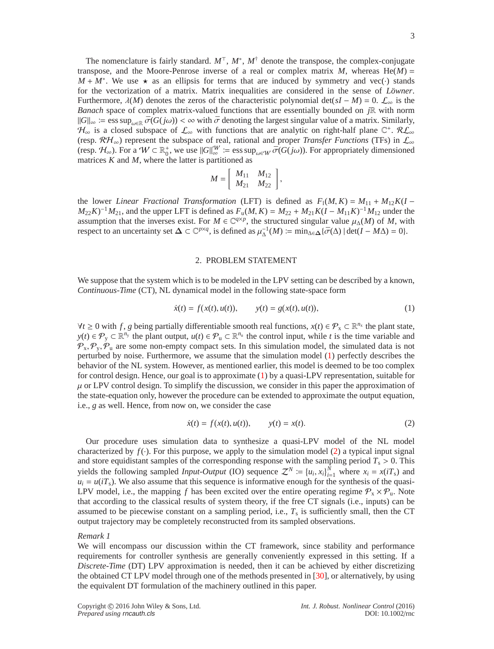The nomenclature is fairly standard. *M*<sup>⊤</sup>, *M*<sup>∗</sup> , *M*† denote the transpose, the complex-conjugate transpose, and the Moore-Penrose inverse of a real or complex matrix  $M$ , whereas He( $M$ ) =  $M + M^*$ . We use  $\star$  as an ellipsis for terms that are induced by symmetry and vec(·) stands for the vectorization of a matrix. Matrix inequalities are considered in the sense of *Lowner*. Furthermore,  $\lambda(M)$  denotes the zeros of the characteristic polynomial det( $sI - M$ ) = 0.  $\mathcal{L}_{\infty}$  is the *Banach* space of complex matrix-valued functions that are essentially bounded on *j*R with norm  $||G||_{\infty}$  ≔ ess sup<sub> $\omega \in \mathbb{R}$ </sub>  $\bar{\sigma}(G(j\omega)) < \infty$  with  $\bar{\sigma}$  denoting the largest singular value of a matrix. Similarly,  $\mathcal{H}_{\infty}$  is a closed subspace of  $\mathcal{L}_{\infty}$  with functions that are analytic on right-half plane  $\mathbb{C}^+$ .  $\mathcal{RL}_{\infty}$ (resp. RH∞) represent the subspace of real, rational and proper *Transfer Functions* (TFs) in L<sup>∞</sup> (resp.  $\mathcal{H}_{\infty}$ ). For a  $W \subset \mathbb{R}^+_0$ , we use  $||G||_{\infty}^W := \text{ess sup}_{\omega \in W} \overline{\sigma}(G(j\omega))$ . For appropriately dimensioned matrices *K* and *M*, where the latter is partitioned as

$$
M = \left[ \begin{array}{cc} M_{11} & M_{12} \\ M_{21} & M_{22} \end{array} \right],
$$

the lower *Linear Fractional Transformation* (LFT) is defined as  $F_1(M, K) = M_{11} + M_{12}K(I M_{22}K$ <sup>-1</sup> $M_{21}$ , and the upper LFT is defined as  $F_u(M, K) = M_{22} + M_{21}K(I - M_{11}K)^{-1}M_{12}$  under the assumption that the inverses exist. For  $M \in \mathbb{C}^{q \times p}$ , the structured singular value  $\mu_{\Delta}(M)$  of M, with respect to an uncertainty set  $\Delta \subset \mathbb{C}^{p \times q}$ , is defined as  $\mu_{\Delta}^{-1}(M) \coloneqq \min_{\Delta \in \Delta} {\{\bar{\sigma}(\Delta) \mid \det(I - M\Delta) = 0\}}$ .

#### 2. PROBLEM STATEMENT

<span id="page-2-0"></span>We suppose that the system which is to be modeled in the LPV setting can be described by a known, *Continuous-Time* (CT), NL dynamical model in the following state-space form

<span id="page-2-1"></span>
$$
\dot{x}(t) = f(x(t), u(t)), \qquad y(t) = g(x(t), u(t)), \tag{1}
$$

*∀t* ≥ 0 with *f*, *g* being partially differentiable smooth real functions,  $x(t) \in \mathcal{P}_x \subset \mathbb{R}^{n_x}$  the plant state, *y*(*t*) ∈  $\mathcal{P}_y$  ⊂  $\mathbb{R}^{n_y}$  the plant output, *u*(*t*) ∈  $\mathcal{P}_u$  ⊂  $\mathbb{R}^{n_u}$  the control input, while *t* is the time variable and  $\mathcal{P}_x, \mathcal{P}_y, \mathcal{P}_u$  are some non-empty compact sets. In this simulation model, the simulated data is not perturbed by noise. Furthermore, we assume that the simulation model [\(1\)](#page-2-1) perfectly describes the behavior of the NL system. However, as mentioned earlier, this model is deemed to be too complex for control design. Hence, our goal is to approximate [\(1\)](#page-2-1) by a quasi-LPV representation, suitable for  $\mu$  or LPV control design. To simplify the discussion, we consider in this paper the approximation of the state-equation only, however the procedure can be extended to approximate the output equation, i.e., *g* as well. Hence, from now on, we consider the case

<span id="page-2-2"></span>
$$
\dot{x}(t) = f(x(t), u(t)), \qquad y(t) = x(t). \tag{2}
$$

Our procedure uses simulation data to synthesize a quasi-LPV model of the NL model characterized by  $f(\cdot)$ . For this purpose, we apply to the simulation model [\(2\)](#page-2-2) a typical input signal and store equidistant samples of the corresponding response with the sampling period  $T_s > 0$ . This yields the following sampled *Input-Output* (IO) sequence  $Z^N := \{u_i, x_i\}_{i=1}^N$  where  $x_i = x_i/T_s$ ) and  $u_i = u(iT_s)$ . We also assume that this sequence is informative enough for the synthesis of the quasi-LPV model, i.e., the mapping f has been excited over the entire operating regime  $P_x \times P_u$ . Note that according to the classical results of system theory, if the free CT signals (i.e., inputs) can be assumed to be piecewise constant on a sampling period, i.e., *T*<sup>s</sup> is sufficiently small, then the CT output trajectory may be completely reconstructed from its sampled observations.

#### *Remark 1*

We will encompass our discussion within the CT framework, since stability and performance requirements for controller synthesis are generally conveniently expressed in this setting. If a *Discrete-Time* (DT) LPV approximation is needed, then it can be achieved by either discretizing the obtained CT LPV model through one of the methods presented in [\[30\]](#page-18-8), or alternatively, by using the equivalent DT formulation of the machinery outlined in this paper.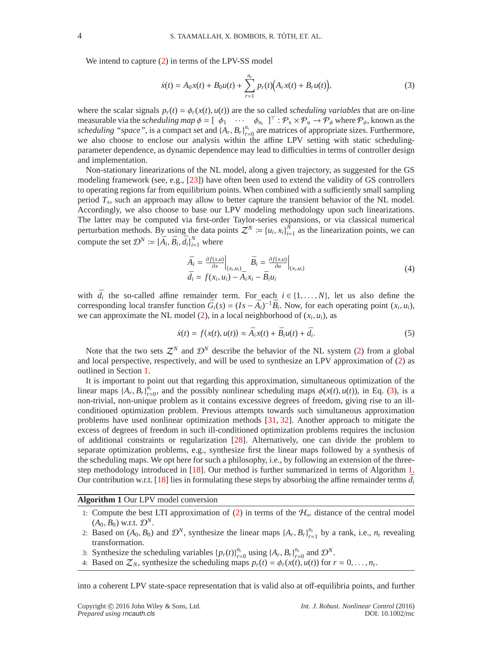We intend to capture [\(2\)](#page-2-2) in terms of the LPV-SS model

<span id="page-3-0"></span>
$$
\dot{x}(t) = A_0 x(t) + B_0 u(t) + \sum_{r=1}^{n_r} p_r(t) (A_r x(t) + B_r u(t)),
$$
\n(3)

where the scalar signals  $p_r(t) = \phi_r(x(t), u(t))$  are the so called *scheduling variables* that are on-line measurable via the *scheduling map*  $\phi = [\phi_1 \cdots \phi_{n_r}]^T : \mathcal{P}_x \times \mathcal{P}_u \to \mathcal{P}_\phi$  where  $\mathcal{P}_\phi$ , known as the *scheduling "space"*, is a compact set and  $\{A_r, B_r\}_{r=0}^{n_r}$  are matrices of appropriate sizes. Furthermore, we also choose to enclose our analysis within the affine LPV setting with static schedulingparameter dependence, as dynamic dependence may lead to difficulties in terms of controller design and implementation.

Non-stationary linearizations of the NL model, along a given trajectory, as suggested for the GS modeling framework (see, e.g., [\[23\]](#page-18-1)) have often been used to extend the validity of GS controllers to operating regions far from equilibrium points. When combined with a sufficiently small sampling period *T*<sup>s</sup> , such an approach may allow to better capture the transient behavior of the NL model. Accordingly, we also choose to base our LPV modeling methodology upon such linearizations. The latter may be computed via first-order Taylor-series expansions, or via classical numerical perturbation methods. By using the data points  $\mathcal{Z}^N := \{u_i, x_i\}_{i=1}^N$  as the linearization points, we can compute the set  $\mathcal{D}^N \coloneqq {\{\bar{A}_i, \bar{B}_i, \bar{d}_i\}_{i=1}^N}$  where

$$
\bar{A}_i = \frac{\partial f(x, u)}{\partial x}\Big|_{(x_i, u_i)} \bar{B}_i = \frac{\partial f(x, u)}{\partial u}\Big|_{(x_i, u_i)}
$$
\n
$$
\bar{d}_i = f(x_i, u_i) - \bar{A}_i x_i - \bar{B}_i u_i
$$
\n(4)

with  $\bar{d}_i$  the so-called affine remainder term. For each  $i \in \{1, ..., N\}$ , let us also define the corresponding local transfer function  $\bar{G}_i(s) = (Is - \bar{A}_i)^{-1} \bar{B}_i$ . Now, for each operating point  $(x_i, u_i)$ , we can approximate the NL model [\(2\)](#page-2-2), in a local neighborhood of  $(x_i, u_i)$ , as

<span id="page-3-2"></span>
$$
\dot{x}(t) = f(x(t), u(t)) \approx \bar{A}_i x(t) + \bar{B}_i u(t) + \bar{d}_i.
$$
\n(5)

Note that the two sets  $\mathcal{Z}^N$  and  $\mathcal{D}^N$  describe the behavior of the NL system [\(2\)](#page-2-2) from a global and local perspective, respectively, and will be used to synthesize an LPV approximation of [\(2\)](#page-2-2) as outlined in Section [1.](#page-0-1)

It is important to point out that regarding this approximation, simultaneous optimization of the linear maps  $\{A_r, B_r\}_{r=0}^{\bar{n}_r}$ , and the possibly nonlinear scheduling maps  $\phi(x(t), u(t))$ , in Eq. [\(3\)](#page-3-0), is a non-trivial, non-unique problem as it contains excessive degrees of freedom, giving rise to an illconditioned optimization problem. Previous attempts towards such simultaneous approximation problems have used nonlinear optimization methods [\[31,](#page-18-9) [32\]](#page-18-10). Another approach to mitigate the excess of degrees of freedom in such ill-conditioned optimization problems requires the inclusion of additional constraints or regularization [\[28\]](#page-18-6). Alternatively, one can divide the problem to separate optimization problems, e.g., synthesize first the linear maps followed by a synthesis of the scheduling maps. We opt here for such a philosophy, i.e., by following an extension of the threestep methodology introduced in [\[18\]](#page-17-15). Our method is further summarized in terms of Algorithm [1.](#page-3-1) Our contribution w.r.t. [\[18\]](#page-17-15) lies in formulating these steps by absorbing the affine remainder terms  $\bar{d}_i$ 

# <span id="page-3-1"></span>**Algorithm 1** Our LPV model conversion

- 1: Compute the best LTI approximation of [\(2\)](#page-2-2) in terms of the  $H_{\infty}$  distance of the central model  $(A_0, B_0)$  w.r.t.  $\mathcal{D}^N$ .
- 2: Based on  $(A_0, B_0)$  and  $\mathcal{D}^N$ , synthesize the linear maps  $\{A_r, B_r\}_{r=1}^{n_r}$  by a rank, i.e.,  $n_r$  revealing transformation.
- 3: Synthesize the scheduling variables  $\{p_r(t)\}_{r=0}^{n_r}$  using  $\{A_r, B_r\}_{r=0}^{n_r}$  and  $\mathcal{D}^N$ .
- 4: Based on  $\mathcal{Z}_N$ , synthesize the scheduling maps  $p_r(t) = \phi_r(x(t), u(t))$  for  $r = 0, \ldots, n_r$ .

into a coherent LPV state-space representation that is valid also at off-equilibria points, and further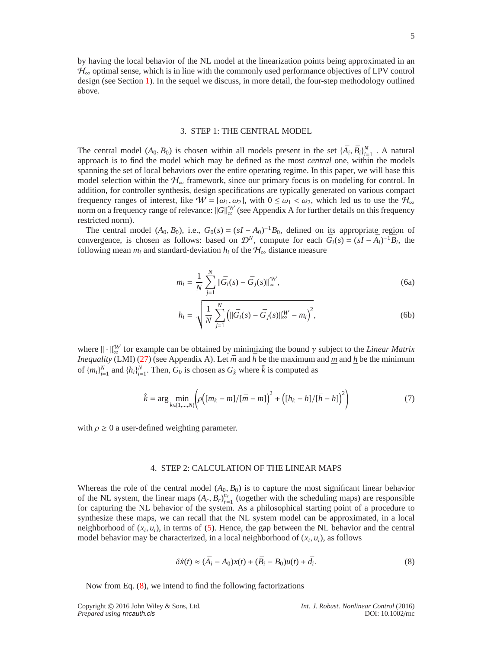by having the local behavior of the NL model at the linearization points being approximated in an  $\mathcal{H}_{\infty}$  optimal sense, which is in line with the commonly used performance objectives of LPV control design (see Section [1\)](#page-0-1). In the sequel we discuss, in more detail, the four-step methodology outlined above.

## 3. STEP 1: THE CENTRAL MODEL

<span id="page-4-0"></span>The central model  $(A_0, B_0)$  is chosen within all models present in the set  $\{\bar{A}_i, \bar{B}_i\}_{i=1}^N$ . A natural approach is to find the model which may be defined as the most *central* one, within the models spanning the set of local behaviors over the entire operating regime. In this paper, we will base this model selection within the  $H_{\infty}$  framework, since our primary focus is on modeling for control. In addition, for controller synthesis, design specifications are typically generated on various compact frequency ranges of interest, like  $W = [\omega_1, \omega_2]$ , with  $0 \le \omega_1 < \omega_2$ , which led us to use the  $\mathcal{H}_{\infty}$ norm on a frequency range of relevance:  $\|\tilde{G}\|_{\infty}^W$  (see Appendix A for further details on this frequency restricted norm).

The central model  $(A_0, B_0)$ , i.e.,  $G_0(s) = (sI - A_0)^{-1}B_0$ , defined on its appropriate region of convergence, is chosen as follows: based on  $\mathcal{D}^N$ , compute for each  $\bar{G}_i(s) = (sI - \bar{A}_i)^{-1}\bar{B}_i$ , the following mean  $m_i$  and standard-deviation  $h_i$  of the  $H_\infty$  distance measure

$$
m_i = \frac{1}{N} \sum_{j=1}^{N} ||\bar{G}_i(s) - \bar{G}_j(s)||_{\infty}^{\mathcal{W}},
$$
\n(6a)

$$
h_i = \sqrt{\frac{1}{N} \sum_{j=1}^{N} \left( ||\bar{G}_i(s) - \bar{G}_j(s)||_{\infty}^W - m_i \right)^2},
$$
 (6b)

where  $\|\cdot\|_{\infty}^{W}$  for example can be obtained by minimizing the bound  $\gamma$  subject to the *Linear Matrix Inequality* (LMI) [\(27\)](#page-16-0) (see Appendix A). Let  $\bar{m}$  and  $\bar{h}$  be the maximum and  $\bar{m}$  and  $\bar{h}$  be the minimum of  ${m_i}_{i=1}^N$  and  ${h_i}_{i=1}^N$ . Then,  $G_0$  is chosen as  $G_k$  where  $\hat{k}$  is computed as

<span id="page-4-4"></span>
$$
\hat{k} = \arg \min_{k \in \{1, \ldots, N\}} \left( \rho \left( \left[ m_k - \underline{m} \right] / \left[ \bar{m} - \underline{m} \right] \right)^2 + \left( \left[ h_k - \underline{h} \right] / \left[ \bar{h} - \underline{h} \right] \right)^2 \right) \tag{7}
$$

with  $\rho \geq 0$  a user-defined weighting parameter.

# 4. STEP 2: CALCULATION OF THE LINEAR MAPS

<span id="page-4-3"></span>Whereas the role of the central model  $(A_0, B_0)$  is to capture the most significant linear behavior of the NL system, the linear maps  $(A_r, B_r)_{r=1}^{n_r}$  (together with the scheduling maps) are responsible for capturing the NL behavior of the system. As a philosophical starting point of a procedure to synthesize these maps, we can recall that the NL system model can be approximated, in a local neighborhood of  $(x_i, u_i)$ , in terms of  $(5)$ . Hence, the gap between the NL behavior and the central model behavior may be characterized, in a local neighborhood of  $(x_i, u_i)$ , as follows

<span id="page-4-2"></span><span id="page-4-1"></span>
$$
\delta\dot{x}(t) \approx (\bar{A}_i - A_0)x(t) + (\bar{B}_i - B_0)u(t) + \bar{d}_i.
$$
\n(8)

Now from Eq. [\(8\)](#page-4-1), we intend to find the following factorizations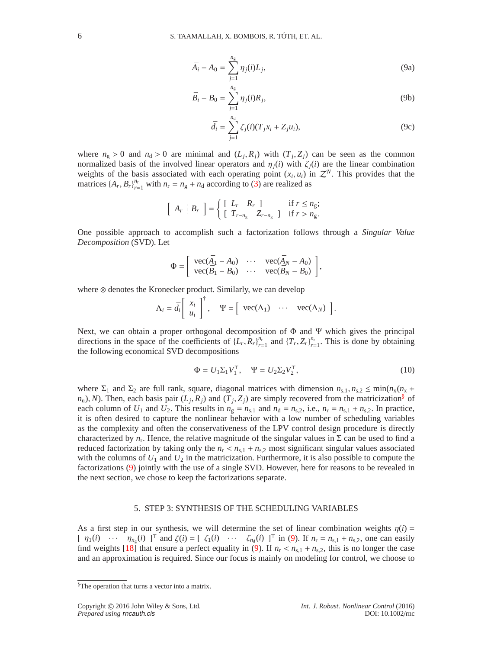$$
\bar{A}_i - A_0 = \sum_{j=1}^{n_g} \eta_j(i) L_j,
$$
\n(9a)

$$
\bar{B}_i - B_0 = \sum_{j=1}^{n_g} \eta_j(i) R_j,
$$
\n(9b)

$$
\bar{d}_i = \sum_{j=1}^{n_d} \zeta_j(i) (T_j x_i + Z_j u_i), \tag{9c}
$$

where  $n_g > 0$  and  $n_d > 0$  are minimal and  $(L_j, R_j)$  with  $(T_j, Z_j)$  can be seen as the common normalized basis of the involved linear operators and  $\eta_i(i)$  with  $\zeta_i(i)$  are the linear combination weights of the basis associated with each operating point  $(x_i, u_i)$  in  $\mathcal{Z}^N$ . This provides that the matrices  $\{A_r, B_r\}_{r=1}^{n_r}$  with  $n_r = n_g + n_d$  according to [\(3\)](#page-3-0) are realized as

$$
\left[\begin{array}{c} A_r & | \ B_r \end{array}\right] = \left\{\begin{array}{ll} \left[\begin{array}{c} L_r & R_r \\ \left[\begin{array}{c} T_{r-n_g} & Z_{r-n_g} \end{array}\right] & \text{if } r < n_g; \end{array}\right. \right. \\ \end{array}
$$

One possible approach to accomplish such a factorization follows through a *Singular Value Decomposition* (SVD). Let

$$
\Phi = \begin{bmatrix} \text{vec}(\bar{A}_1 - A_0) & \cdots & \text{vec}(\bar{A}_N - A_0) \\ \text{vec}(\bar{B}_1 - B_0) & \cdots & \text{vec}(\bar{B}_N - B_0) \end{bmatrix},
$$

where ⊗ denotes the Kronecker product. Similarly, we can develop

$$
\Lambda_i = \bar{d}_i \left[ \begin{array}{c} x_i \\ u_i \end{array} \right]^{\dagger}, \quad \Psi = \left[ \begin{array}{ccc} \text{vec}(\Lambda_1) & \cdots & \text{vec}(\Lambda_N) \end{array} \right].
$$

Next, we can obtain a proper orthogonal decomposition of  $\Phi$  and  $\Psi$  which gives the principal directions in the space of the coefficients of  $\{L_r, R_r\}_{r=1}^{n_r}$  and  $\{T_r, Z_r\}_{r=1}^{n_r}$ . This is done by obtaining the following economical SVD decompositions

$$
\Phi = U_1 \Sigma_1 V_1^\top, \quad \Psi = U_2 \Sigma_2 V_2^\top,
$$
\n<sup>(10)</sup>

where  $\Sigma_1$  and  $\Sigma_2$  are full rank, square, diagonal matrices with dimension  $n_{s,1}, n_{s,2} \le \min(n_x(n_x +$  $n_u$ , *N*). Then, each basis pair  $(L_j, R_j)$  and  $(T_j, Z_j)$  are simply recovered from the matricization<sup>[§](#page-5-0)</sup> of each column of  $U_1$  and  $U_2$ . This results in  $n_g = n_{s,1}$  and  $n_d = n_{s,2}$ , i.e.,  $n_r = n_{s,1} + n_{s,2}$ . In practice, it is often desired to capture the nonlinear behavior with a low number of scheduling variables as the complexity and often the conservativeness of the LPV control design procedure is directly characterized by  $n_r$ . Hence, the relative magnitude of the singular values in  $\Sigma$  can be used to find a reduced factorization by taking only the  $n_r < n_{s,1} + n_{s,2}$  most significant singular values associated with the columns of  $U_1$  and  $U_2$  in the matricization. Furthermore, it is also possible to compute the factorizations [\(9\)](#page-4-2) jointly with the use of a single SVD. However, here for reasons to be revealed in the next section, we chose to keep the factorizations separate.

# 5. STEP 3: SYNTHESIS OF THE SCHEDULING VARIABLES

As a first step in our synthesis, we will determine the set of linear combination weights  $\eta(i)$  =  $\begin{bmatrix} \eta_1(i) & \cdots & \eta_{n_g}(i) \end{bmatrix}^T$  and  $\zeta(i) = [\zeta_1(i) & \cdots & \zeta_{n_d}(i) ]^T$  in [\(9\)](#page-4-2). If  $n_r = n_{s,1} + n_{s,2}$ , one can easily find weights [\[18\]](#page-17-15) that ensure a perfect equality in [\(9\)](#page-4-2). If  $n_r < n_{s,1} + n_{s,2}$ , this is no longer the case and an approximation is required. Since our focus is mainly on modeling for control, we choose to

<span id="page-5-0"></span><sup>§</sup>The operation that turns a vector into a matrix.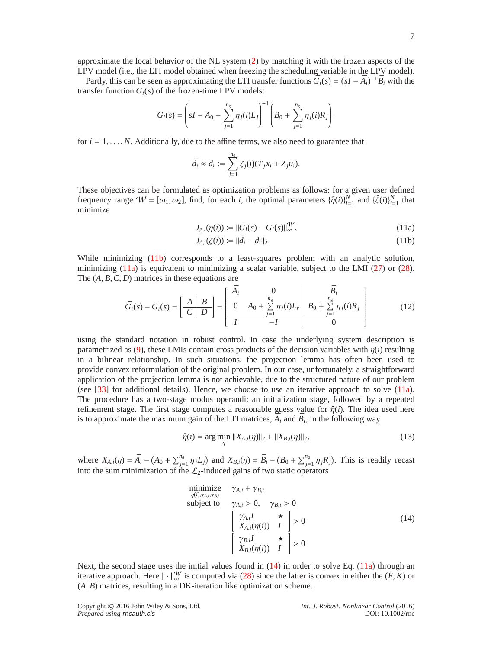approximate the local behavior of the NL system [\(2\)](#page-2-2) by matching it with the frozen aspects of the LPV model (i.e., the LTI model obtained when freezing the scheduling variable in the LPV model).

Partly, this can be seen as approximating the LTI transfer functions  $\bar{G}_i(s) = (sI - \bar{A}_i)^{-1} \bar{B}_i$  with the transfer function  $G_i(s)$  of the frozen-time LPV models:

$$
G_i(s) = \left(sI - A_0 - \sum_{j=1}^{n_g} \eta_j(i)L_j\right)^{-1} \left(B_0 + \sum_{j=1}^{n_g} \eta_j(i)R_j\right).
$$

for  $i = 1, \ldots, N$ . Additionally, due to the affine terms, we also need to guarantee that

$$
\bar{d}_i \approx d_i := \sum_{j=1}^{n_d} \zeta_j(i) (T_j x_i + Z_j u_i).
$$

<span id="page-6-3"></span>These objectives can be formulated as optimization problems as follows: for a given user defined frequency range  $W = [\omega_1, \omega_2]$ , find, for each *i*, the optimal parameters  $\{\hat{\eta}(i)\}_{i=1}^N$  and  $\{\hat{\zeta}(i)\}_{i=1}^N$  that minimize

$$
J_{g,i}(\eta(i)) \coloneqq ||\bar{G}_i(s) - G_i(s)||_{\infty}^{\mathcal{W}}, \tag{11a}
$$

<span id="page-6-1"></span><span id="page-6-0"></span>
$$
J_{d,i}(\zeta(i)) \coloneqq ||\bar{d}_i - d_i||_2. \tag{11b}
$$

While minimizing [\(11b\)](#page-6-0) corresponds to a least-squares problem with an analytic solution, minimizing [\(11a\)](#page-6-1) is equivalent to minimizing a scalar variable, subject to the LMI  $(27)$  or  $(28)$ . The (*A*, *B*,*C*, *D*) matrices in these equations are

$$
\bar{G}_i(s) - G_i(s) = \left[ \frac{A \mid B}{C \mid D} \right] = \left[ \begin{array}{cc|c} \bar{A}_i & 0 & \bar{B}_i \\ 0 & A_0 + \sum_{j=1}^{n_g} \eta_j(i) L_r & B_0 + \sum_{j=1}^{n_g} \eta_j(i) R_j \\ \hline I & -I & 0 \end{array} \right] \tag{12}
$$

using the standard notation in robust control. In case the underlying system description is parametrized as [\(9\)](#page-4-2), these LMIs contain cross products of the decision variables with  $\eta(i)$  resulting in a bilinear relationship. In such situations, the projection lemma has often been used to provide convex reformulation of the original problem. In our case, unfortunately, a straightforward application of the projection lemma is not achievable, due to the structured nature of our problem (see [\[33\]](#page-18-11) for additional details). Hence, we choose to use an iterative approach to solve [\(11a\)](#page-6-1). The procedure has a two-stage modus operandi: an initialization stage, followed by a repeated refinement stage. The first stage computes a reasonable guess value for  $\hat{\eta}(i)$ . The idea used here is to approximate the maximum gain of the LTI matrices,  $\overline{A}_i$  and  $\overline{B}_i$ , in the following way

<span id="page-6-4"></span>
$$
\hat{\eta}(i) = \arg\min_{\eta} \|X_{A,i}(\eta)\|_{2} + \|X_{B,i}(\eta)\|_{2},\tag{13}
$$

where  $X_{A,i}(\eta) = \bar{A}_i - (A_0 + \sum_{j=1}^{n_g} \eta_j L_j)$  and  $X_{B,i}(\eta) = \bar{B}_i - (B_0 + \sum_{j=1}^{n_g} \eta_j R_j)$ . This is readily recast into the sum minimization of the  $\mathcal{L}_2$ -induced gains of two static operators

<span id="page-6-2"></span>minimize 
$$
\gamma_{A,i} + \gamma_{B,i}
$$
  
\nsubject to  $\gamma_{A,i} > 0$ ,  $\gamma_{B,i} > 0$   
\n
$$
\begin{bmatrix}\n\gamma_{A,i}I & \star \\
X_{A,i}(\eta(i)) & I\n\end{bmatrix} > 0
$$
\n(14)  
\n
$$
\begin{bmatrix}\n\gamma_{B,i}I & \star \\
X_{B,i}(\eta(i)) & I\n\end{bmatrix} > 0
$$

Next, the second stage uses the initial values found in  $(14)$  in order to solve Eq.  $(11a)$  through an iterative approach. Here  $\|\cdot\|_{\infty}^{W}$  is computed via [\(28\)](#page-16-1) since the latter is convex in either the  $(F, K)$  or (*A*, *B*) matrices, resulting in a DK-iteration like optimization scheme.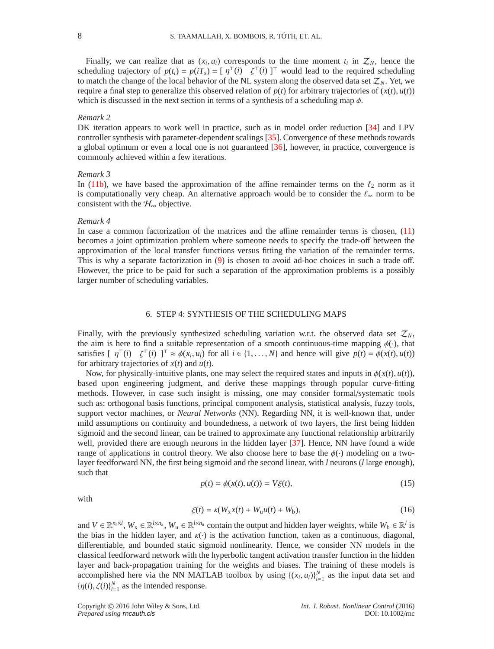Finally, we can realize that as  $(x_i, u_i)$  corresponds to the time moment  $t_i$  in  $\mathcal{Z}_N$ , hence the scheduling trajectory of  $p(t_i) = p(iT_s) = [\eta^\top(i) \ \zeta^\top(i)]^\top$  would lead to the required scheduling to match the change of the local behavior of the NL system along the observed data set  $\mathcal{Z}_N$ . Yet, we require a final step to generalize this observed relation of  $p(t)$  for arbitrary trajectories of  $(x(t), u(t))$ which is discussed in the next section in terms of a synthesis of a scheduling map  $\phi$ .

## *Remark 2*

DK iteration appears to work well in practice, such as in model order reduction [\[34\]](#page-18-12) and LPV controller synthesis with parameter-dependent scalings [\[35\]](#page-18-13). Convergence of these methods towards a global optimum or even a local one is not guaranteed [\[36\]](#page-18-14), however, in practice, convergence is commonly achieved within a few iterations.

#### *Remark 3*

In [\(11b\)](#page-6-0), we have based the approximation of the affine remainder terms on the  $\ell_2$  norm as it is computationally very cheap. An alternative approach would be to consider the  $\ell_{\infty}$  norm to be consistent with the  $H_{\infty}$  objective.

# *Remark 4*

In case a common factorization of the matrices and the affine remainder terms is chosen,  $(11)$ becomes a joint optimization problem where someone needs to specify the trade-off between the approximation of the local transfer functions versus fitting the variation of the remainder terms. This is why a separate factorization in [\(9\)](#page-4-2) is chosen to avoid ad-hoc choices in such a trade off. However, the price to be paid for such a separation of the approximation problems is a possibly larger number of scheduling variables.

# 6. STEP 4: SYNTHESIS OF THE SCHEDULING MAPS

<span id="page-7-0"></span>Finally, with the previously synthesized scheduling variation w.r.t. the observed data set  $\mathcal{Z}_N$ , the aim is here to find a suitable representation of a smooth continuous-time mapping  $\phi(\cdot)$ , that satisfies  $[\eta^\top(i) \quad \zeta^\top(i)]^\top \approx \phi(x_i, u_i)$  for all  $i \in \{1, ..., N\}$  and hence will give  $p(t) = \phi(x(t), u(t))$ for arbitrary trajectories of *x*(*t*) and *u*(*t*).

Now, for physically-intuitive plants, one may select the required states and inputs in  $\phi(x(t), u(t))$ , based upon engineering judgment, and derive these mappings through popular curve-fitting methods. However, in case such insight is missing, one may consider formal/systematic tools such as: orthogonal basis functions, principal component analysis, statistical analysis, fuzzy tools, support vector machines, or *Neural Networks* (NN). Regarding NN, it is well-known that, under mild assumptions on continuity and boundedness, a network of two layers, the first being hidden sigmoid and the second linear, can be trained to approximate any functional relationship arbitrarily well, provided there are enough neurons in the hidden layer [\[37\]](#page-18-15). Hence, NN have found a wide range of applications in control theory. We also choose here to base the  $\phi(\cdot)$  modeling on a twolayer feedforward NN, the first being sigmoid and the second linear, with *l* neurons (*l* large enough), such that

$$
p(t) = \phi(x(t), u(t)) = V\xi(t),
$$
\n(15)

with

$$
\xi(t) = \kappa(W_{x}x(t) + W_{u}u(t) + W_{b}),
$$
\n(16)

and  $V \in \mathbb{R}^{n_r \times l}$ ,  $W_x \in \mathbb{R}^{l \times n_x}$ ,  $W_u \in \mathbb{R}^{l \times n_u}$  contain the output and hidden layer weights, while  $W_b \in \mathbb{R}^l$  is the bias in the hidden layer, and  $\kappa(\cdot)$  is the activation function, taken as a continuous, diagonal, differentiable, and bounded static sigmoid nonlinearity. Hence, we consider NN models in the classical feedforward network with the hyperbolic tangent activation transfer function in the hidden layer and back-propagation training for the weights and biases. The training of these models is accomplished here via the NN MATLAB toolbox by using  $\{(x_i, u_i)\}_{i=1}^N$  as the input data set and  ${\{\eta(i), \zeta(i)\}}_{i=1}^N$  as the intended response.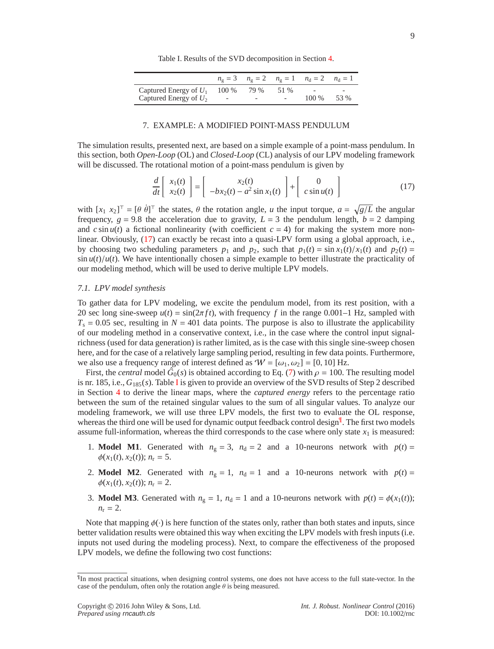|  | Table I. Results of the SVD decomposition in Section 4. |
|--|---------------------------------------------------------|
|--|---------------------------------------------------------|

<span id="page-8-2"></span>

|                          |                          |      |                          | $n_g = 3$ $n_g = 2$ $n_g = 1$ $n_d = 2$ $n_d = 1$ |      |
|--------------------------|--------------------------|------|--------------------------|---------------------------------------------------|------|
| Captured Energy of $U_1$ | 100 %                    | 79 % | 51 %                     | $\overline{\phantom{0}}$                          |      |
| Captured Energy of $U_2$ | $\overline{\phantom{0}}$ |      | $\overline{\phantom{0}}$ | 100 %                                             | 53 % |

## 7. EXAMPLE: A MODIFIED POINT-MASS PENDULUM

<span id="page-8-0"></span>The simulation results, presented next, are based on a simple example of a point-mass pendulum. In this section, both *Open-Loop* (OL) and *Closed-Loop* (CL) analysis of our LPV modeling framework will be discussed. The rotational motion of a point-mass pendulum is given by

<span id="page-8-1"></span>
$$
\frac{d}{dt}\begin{bmatrix} x_1(t) \\ x_2(t) \end{bmatrix} = \begin{bmatrix} x_2(t) \\ -bx_2(t) - a^2 \sin x_1(t) \end{bmatrix} + \begin{bmatrix} 0 \\ c \sin u(t) \end{bmatrix}
$$
(17)

with  $[x_1 \ x_2]^\top = [\theta \ \dot{\theta}]^\top$  the states,  $\theta$  the rotation angle, *u* the input torque,  $a = \sqrt{g/L}$  the angular frequency,  $g = 9.8$  the acceleration due to gravity,  $L = 3$  the pendulum length,  $b = 2$  damping and  $c \sin u(t)$  a fictional nonlinearity (with coefficient  $c = 4$ ) for making the system more nonlinear. Obviously, [\(17\)](#page-8-1) can exactly be recast into a quasi-LPV form using a global approach, i.e., by choosing two scheduling parameters  $p_1$  and  $p_2$ , such that  $p_1(t) = \sin x_1(t)/x_1(t)$  and  $p_2(t) =$  $\sin u(t)/u(t)$ . We have intentionally chosen a simple example to better illustrate the practicality of our modeling method, which will be used to derive multiple LPV models.

# <span id="page-8-4"></span>*7.1. LPV model synthesis*

To gather data for LPV modeling, we excite the pendulum model, from its rest position, with a 20 sec long sine-sweep  $u(t) = \sin(2\pi ft)$ , with frequency f in the range 0.001–1 Hz, sampled with  $T_s = 0.05$  sec, resulting in  $N = 401$  data points. The purpose is also to illustrate the applicability of our modeling method in a conservative context, i.e., in the case where the control input signalrichness (used for data generation) is rather limited, as is the case with this single sine-sweep chosen here, and for the case of a relatively large sampling period, resulting in few data points. Furthermore, we also use a frequency range of interest defined as  $W = [\omega_1, \omega_2] = [0, 10]$  Hz.

First, the *central* model  $\tilde{G}_0(s)$  is obtained according to Eq. [\(7\)](#page-4-4) with  $\rho = 100$ . The resulting model is nr. 185, i.e., *G*185(*s*). Table [I](#page-8-2) is given to provide an overview of the SVD results of Step 2 described in Section [4](#page-4-3) to derive the linear maps, where the *captured energy* refers to the percentage ratio between the sum of the retained singular values to the sum of all singular values. To analyze our modeling framework, we will use three LPV models, the first two to evaluate the OL response, whereas the third one will be used for dynamic output feedback control design<sup>[¶](#page-8-3)</sup>. The first two models assume full-information, whereas the third corresponds to the case where only state  $x_1$  is measured:

- 1. **Model M1**. Generated with  $n_g = 3$ ,  $n_d = 2$  and a 10-neurons network with  $p(t) =$  $\phi(x_1(t), x_2(t))$ ;  $n_r = 5$ .
- 2. **Model M2**. Generated with  $n_g = 1$ ,  $n_d = 1$  and a 10-neurons network with  $p(t) =$  $\phi(x_1(t), x_2(t))$ ;  $n_r = 2$ .
- 3. **Model M3**. Generated with  $n_g = 1$ ,  $n_d = 1$  and a 10-neurons network with  $p(t) = \phi(x_1(t))$ ;  $n_r = 2$ .

Note that mapping  $\phi(\cdot)$  is here function of the states only, rather than both states and inputs, since better validation results were obtained this way when exciting the LPV models with fresh inputs (i.e. inputs not used during the modeling process). Next, to compare the effectiveness of the proposed LPV models, we define the following two cost functions:

<span id="page-8-3"></span><sup>¶</sup> In most practical situations, when designing control systems, one does not have access to the full state-vector. In the case of the pendulum, often only the rotation angle  $\theta$  is being measured.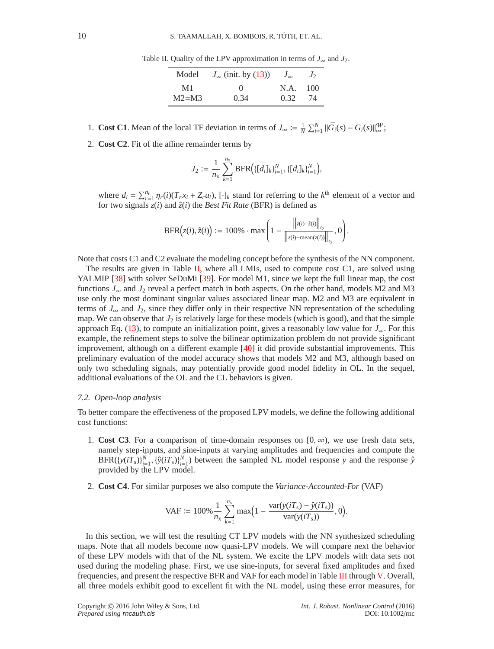| Model    | $J_{\infty}$ (init. by (13)) | $J_{\infty}$ | $J_{2}$ |
|----------|------------------------------|--------------|---------|
| M1       | $\left( \right)$             | N.A.         | 100     |
| $M2= M3$ | 0.34                         | 0.32         | 74      |

<span id="page-9-0"></span>Table II. Quality of the LPV approximation in terms of  $J_{\infty}$  and  $J_2$ .

- 1. **Cost C1**. Mean of the local TF deviation in terms of  $J_{\infty} := \frac{1}{N} \sum_{i=1}^{N} ||\bar{G}_i(s) G_i(s)||_{\infty}^W$ ;
- 2. **Cost C2**. Fit of the affine remainder terms by

$$
J_2 := \frac{1}{n_{\rm x}} \sum_{k=1}^{n_{\rm x}} \text{BFR} \Big( \{ [\bar{d}_i]_k \}_{i=1}^N, \{ [d_i]_k \}_{i=1}^N \Big),
$$

where  $d_i = \sum_{r=1}^{n_r} \eta_r(i) (T_r x_i + Z_r u_i)$ , [·]*k* stand for referring to the *k*<sup>th</sup> element of a vector and for two signals *z*(*i*) and ˆ*z*(*i*) the *Best Fit Rate* (BFR) is defined as

$$
BFR(z(i), \hat{z}(i)) := 100\% \cdot \max\left(1 - \frac{\left\|z(i) - \hat{z}(i)\right\|_{\ell_2}}{\left\|z(i) - \text{mean}(z(i))\right\|_{\ell_2}}, 0\right).
$$

Note that costs C1 and C2 evaluate the modeling concept before the synthesis of the NN component.

The results are given in Table [II,](#page-9-0) where all LMIs, used to compute cost C1, are solved using YALMIP [\[38\]](#page-18-16) with solver SeDuMi [\[39\]](#page-18-17). For model M1, since we kept the full linear map, the cost functions  $J_{\infty}$  and  $J_2$  reveal a perfect match in both aspects. On the other hand, models M2 and M3 use only the most dominant singular values associated linear map. M2 and M3 are equivalent in terms of  $J_{\infty}$  and  $J_2$ , since they differ only in their respective NN representation of the scheduling map. We can observe that  $J_2$  is relatively large for these models (which is good), and that the simple approach Eq. [\(13\)](#page-6-4), to compute an initialization point, gives a reasonably low value for  $J_{\infty}$ . For this example, the refinement steps to solve the bilinear optimization problem do not provide significant improvement, although on a different example [\[40\]](#page-18-18) it did provide substantial improvements. This preliminary evaluation of the model accuracy shows that models M2 and M3, although based on only two scheduling signals, may potentially provide good model fidelity in OL. In the sequel, additional evaluations of the OL and the CL behaviors is given.

#### *7.2. Open-loop analysis*

To better compare the effectiveness of the proposed LPV models, we define the following additional cost functions:

- 1. **Cost C3**. For a comparison of time-domain responses on  $[0, \infty)$ , we use fresh data sets, namely step-inputs, and sine-inputs at varying amplitudes and frequencies and compute the  $BFR(\lbrace y(iT_s)\rbrace_{i=1}^{\bar{N}}, \lbrace \hat{y}(iT_s)\rbrace_{i=1}^{\bar{N}})$  between the sampled NL model response *y* and the response  $\hat{y}$ provided by the LPV model.
- 2. **Cost C4**. For similar purposes we also compute the *Variance-Accounted-For* (VAF)

$$
VAF := 100\% \frac{1}{n_x} \sum_{k=1}^{n_x} \max(1 - \frac{\text{var}(y(iT_s) - \hat{y}(iT_s))}{\text{var}(y(iT_s))}, 0).
$$

In this section, we will test the resulting CT LPV models with the NN synthesized scheduling maps. Note that all models become now quasi-LPV models. We will compare next the behavior of these LPV models with that of the NL system. We excite the LPV models with data sets not used during the modeling phase. First, we use sine-inputs, for several fixed amplitudes and fixed frequencies, and present the respective BFR and VAF for each model in Table [III](#page-10-0) through [V.](#page-10-1) Overall, all three models exhibit good to excellent fit with the NL model, using these error measures, for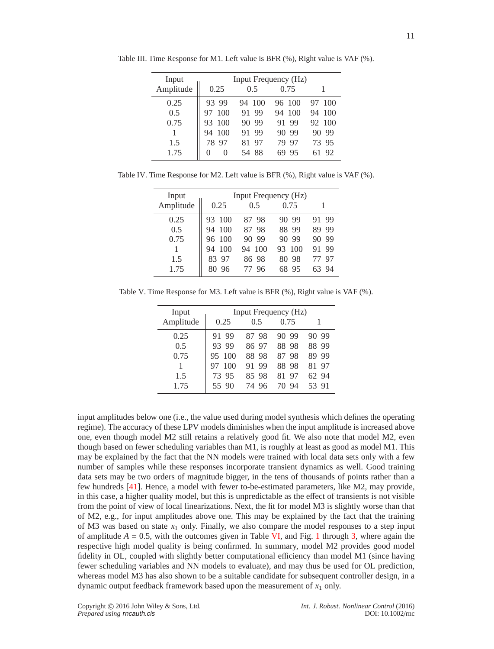| Input     | Input Frequency (Hz) |            |           |           |
|-----------|----------------------|------------|-----------|-----------|
| Amplitude | 0.25                 | 0.5        | 0.75      |           |
| 0.25      | 93.<br>-99           | -100<br>94 | 96 100    | 100<br>97 |
| 0.5       | 100                  | 99         | 100       | 100       |
|           | 97                   | 91         | 94        | 94        |
| 0.75      | 100                  | -99        | 91        | 100       |
|           | 93                   | 90         | 99        | 92        |
|           | -100<br>94           | 91 99      | -99<br>90 | -99<br>90 |
| 1.5       | 78                   | 81.        | -97       | -95       |
|           | 97                   | - 97       | 79        | 73.       |
| 1.75      | $\theta$             | -88        | 95        | -92       |
|           | $\left( \right)$     | 54         | 69        | 61        |

<span id="page-10-0"></span>Table III. Time Response for M1. Left value is BFR (%), Right value is VAF (%).

Table IV. Time Response for M2. Left value is BFR (%), Right value is VAF (%).

| Input     | Input Frequency (Hz) |                  |            |     |     |
|-----------|----------------------|------------------|------------|-----|-----|
| Amplitude | 0.25                 | 0.5              | 0.75       |     |     |
| 0.25      | 93<br>100            | 8798             | -99<br>90  | 91. | -99 |
| 0.5       | <b>100</b><br>94     | 87 98            | -99<br>88  | 89  | 99  |
| 0.75      | 100<br>96            | 99<br>90         | -99<br>90  | 90  | 99  |
|           | 100<br>94            | <b>100</b><br>94 | 93<br>-100 | 91  | -99 |
| 1.5       | 83<br>97             | 86 98            | -98<br>80  |     | 97  |
| 1.75      | 96                   | 96               | 95         |     | 94  |

<span id="page-10-1"></span>Table V. Time Response for M3. Left value is BFR (%), Right value is VAF (%).

| Input     |           |           | Input Frequency (Hz) |           |
|-----------|-----------|-----------|----------------------|-----------|
| Amplitude | 0.25      | 0.5       | 0.75                 |           |
| 0.25      | 91 99     | 8798      | 99<br>90             | 99<br>90  |
| 0.5       | 93.99     | 8697      | 88.98                | -99<br>88 |
| 0.75      | 95 100    | 98<br>88. | 98<br>87             | 99<br>89  |
|           | 100<br>97 | 99<br>91  | 88<br>98             | 81 97     |
| 1.5       | 73 95     | 98<br>85. | 81<br>97             | 62.94     |
| 1.75      | 55 90     | 74<br>96  | 94<br>70             | 53<br>-91 |

input amplitudes below one (i.e., the value used during model synthesis which defines the operating regime). The accuracy of these LPV models diminishes when the input amplitude is increased above one, even though model M2 still retains a relatively good fit. We also note that model M2, even though based on fewer scheduling variables than M1, is roughly at least as good as model M1. This may be explained by the fact that the NN models were trained with local data sets only with a few number of samples while these responses incorporate transient dynamics as well. Good training data sets may be two orders of magnitude bigger, in the tens of thousands of points rather than a few hundreds [\[41\]](#page-18-19). Hence, a model with fewer to-be-estimated parameters, like M2, may provide, in this case, a higher quality model, but this is unpredictable as the effect of transients is not visible from the point of view of local linearizations. Next, the fit for model M3 is slightly worse than that of M2, e.g., for input amplitudes above one. This may be explained by the fact that the training of M3 was based on state  $x_1$  only. Finally, we also compare the model responses to a step input of amplitude  $A = 0.5$ , with the outcomes given in Table [VI,](#page-11-0) and Fig. [1](#page-11-1) through [3,](#page-11-2) where again the respective high model quality is being confirmed. In summary, model M2 provides good model fidelity in OL, coupled with slightly better computational efficiency than model M1 (since having fewer scheduling variables and NN models to evaluate), and may thus be used for OL prediction, whereas model M3 has also shown to be a suitable candidate for subsequent controller design, in a dynamic output feedback framework based upon the measurement of  $x_1$  only.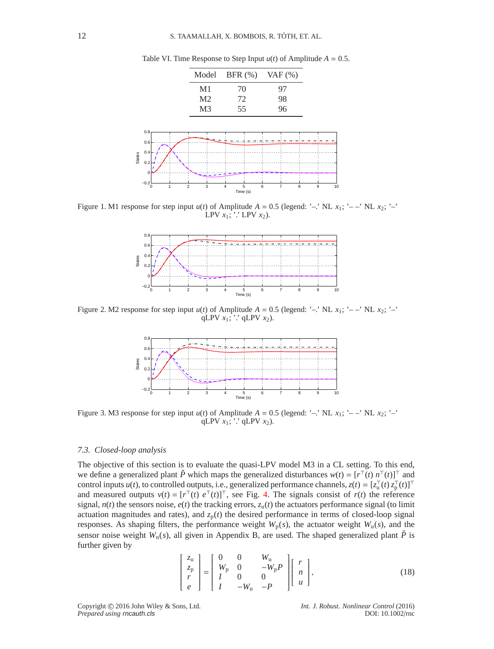<span id="page-11-1"></span><span id="page-11-0"></span>

Table VI. Time Response to Step Input  $u(t)$  of Amplitude  $A = 0.5$ .

Figure 1. M1 response for step input  $u(t)$  of Amplitude  $A = 0.5$  (legend: '–.' NL  $x_1$ ; '––' NL  $x_2$ ; '–' LPV  $x_1$ ;  $\therefore$  LPV  $x_2$ ).



<span id="page-11-2"></span>Figure 2. M2 response for step input  $u(t)$  of Amplitude  $A = 0.5$  (legend: '–.' NL  $x_1$ ; '––' NL  $x_2$ ; '–' qLPV  $x_1$ ;  $\cdot$  qLPV  $x_2$ ).



Figure 3. M3 response for step input  $u(t)$  of Amplitude  $A = 0.5$  (legend: '–.' NL  $x_1$ ; '– –' NL  $x_2$ ; '–' qLPV  $x_1$ ;  $\therefore$  qLPV  $x_2$ ).

## *7.3. Closed-loop analysis*

The objective of this section is to evaluate the quasi-LPV model M3 in a CL setting. To this end, we define a generalized plant  $\check{P}$  which maps the generalized disturbances  $w(t) = [r^\top(t) n^\top(t)]^\top$  and control inputs *u*(*t*), to controlled outputs, i.e., generalized performance channels,  $z(t) = [z_u^\top(t) z_p^\top(t)]^\top$ and measured outputs  $v(t) = [r^{\top}(t) e^{\top}(t)]^{\top}$ , see Fig. [4.](#page-12-0) The signals consist of  $r(t)$  the reference signal,  $n(t)$  the sensors noise,  $e(t)$  the tracking errors,  $z<sub>u</sub>(t)$  the actuators performance signal (to limit actuation magnitudes and rates), and  $z_p(t)$  the desired performance in terms of closed-loop signal responses. As shaping filters, the performance weight  $W_p(s)$ , the actuator weight  $W_u(s)$ , and the sensor noise weight  $W_n(s)$ , all given in Appendix B, are used. The shaped generalized plant  $\tilde{P}$  is further given by

$$
\begin{bmatrix} z_{\rm u} \\ z_{\rm p} \\ r \\ e \end{bmatrix} = \begin{bmatrix} 0 & 0 & W_{\rm u} \\ W_{\rm p} & 0 & -W_{\rm p}P \\ I & 0 & 0 \\ I & -W_{\rm n} & -P \end{bmatrix} \begin{bmatrix} r \\ n \\ u \end{bmatrix},
$$
(18)

Copyright c 2016 John Wiley & Sons, Ltd. *Int. J. Robust. Nonlinear Control* (2016) *Prepared using* rncauth.cls DOI: 10.1002/rnc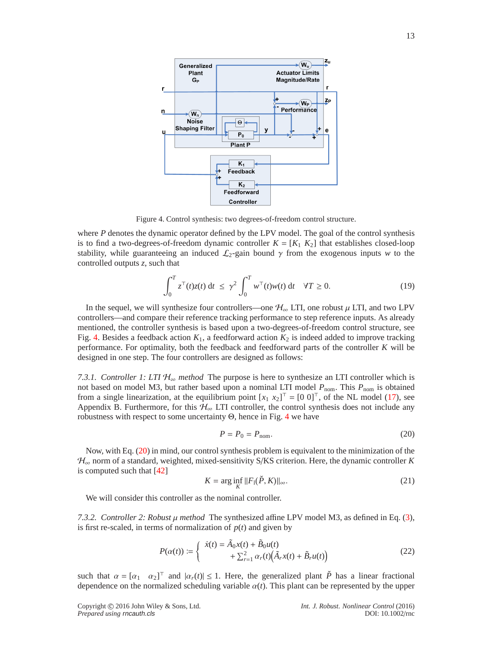<span id="page-12-0"></span>

Figure 4. Control synthesis: two degrees-of-freedom control structure.

where *P* denotes the dynamic operator defined by the LPV model. The goal of the control synthesis is to find a two-degrees-of-freedom dynamic controller  $K = [K_1 \ K_2]$  that establishes closed-loop stability, while guaranteeing an induced  $\mathcal{L}_2$ -gain bound  $\gamma$  from the exogenous inputs *w* to the controlled outputs *z*, such that

<span id="page-12-3"></span>
$$
\int_0^T z^\top(t)z(t) dt \le \gamma^2 \int_0^T w^\top(t)w(t) dt \quad \forall T \ge 0.
$$
 (19)

In the sequel, we will synthesize four controllers—one  $\mathcal{H}_{\infty}$  LTI, one robust  $\mu$  LTI, and two LPV controllers—and compare their reference tracking performance to step reference inputs. As already mentioned, the controller synthesis is based upon a two-degrees-of-freedom control structure, see Fig. [4.](#page-12-0) Besides a feedback action  $K_1$ , a feedforward action  $K_2$  is indeed added to improve tracking performance. For optimality, both the feedback and feedforward parts of the controller *K* will be designed in one step. The four controllers are designed as follows:

*7.3.1. Controller 1: LTI*  $H_{\infty}$  *method* The purpose is here to synthesize an LTI controller which is not based on model M3, but rather based upon a nominal LTI model  $P_{\text{nom}}$ . This  $P_{\text{nom}}$  is obtained from a single linearization, at the equilibrium point  $[x_1 \ x_2]^\top = [0 \ 0]^\top$ , of the NL model [\(17\)](#page-8-1), see Appendix B. Furthermore, for this  $H_{\infty}$  LTI controller, the control synthesis does not include any robustness with respect to some uncertainty Θ, hence in Fig. [4](#page-12-0) we have

<span id="page-12-1"></span>
$$
P = P_0 = P_{\text{nom}}.\tag{20}
$$

Now, with Eq. [\(20\)](#page-12-1) in mind, our control synthesis problem is equivalent to the minimization of the  $\mathcal{H}_{\infty}$  norm of a standard, weighted, mixed-sensitivity S/KS criterion. Here, the dynamic controller *K* is computed such that [\[42\]](#page-18-20)

$$
K = \arg\inf_{K} ||F_1(\check{P}, K)||_{\infty}.
$$
\n(21)

We will consider this controller as the nominal controller.

<span id="page-12-4"></span>*7.3.2. Controller 2: Robust*  $\mu$  *method* The synthesized affine LPV model M3, as defined in Eq. [\(3\)](#page-3-0), is first re-scaled, in terms of normalization of  $p(t)$  and given by

<span id="page-12-2"></span>
$$
P(\alpha(t)) := \begin{cases} \dot{x}(t) = \tilde{A}_0 x(t) + \tilde{B}_0 u(t) \\ + \sum_{r=1}^2 \alpha_r(t) (\tilde{A}_r x(t) + \tilde{B}_r u(t)) \end{cases}
$$
(22)

such that  $\alpha = [\alpha_1 \quad \alpha_2]^\top$  and  $|\alpha_r(t)| \le 1$ . Here, the generalized plant  $\check{P}$  has a linear fractional dependence on the normalized scheduling variable  $\alpha(t)$ . This plant can be represented by the upper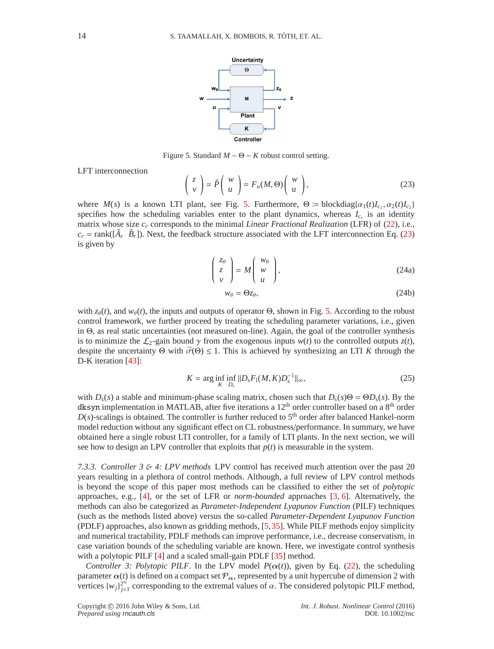<span id="page-13-0"></span>

Figure 5. Standard  $M - \Theta - K$  robust control setting.

LFT interconnection

<span id="page-13-1"></span>
$$
\begin{pmatrix} z \\ v \end{pmatrix} = \check{P} \begin{pmatrix} w \\ u \end{pmatrix} = F_u(M, \Theta) \begin{pmatrix} w \\ u \end{pmatrix},
$$
 (23)

where  $M(s)$  is a known LTI plant, see Fig. [5.](#page-13-0) Furthermore,  $\Theta := \text{blockdiag}\{\alpha_1(t)I_{c_1}, \alpha_2(t)I_{c_2}\}$ specifies how the scheduling variables enter to the plant dynamics, whereas  $I_{c_r}$  is an identity matrix whose size *c<sup>r</sup>* corresponds to the minimal *Linear Fractional Realization* (LFR) of [\(22\)](#page-12-2), i.e.,  $c_r = \text{rank}([\tilde{A}_r \ \tilde{B}_r])$ . Next, the feedback structure associated with the LFT interconnection Eq. [\(23\)](#page-13-1) is given by

$$
\begin{pmatrix} z_{\theta} \\ z \\ v \end{pmatrix} = M \begin{pmatrix} w_{\theta} \\ w \\ u \end{pmatrix},
$$
 (24a)

$$
w_{\theta} = \Theta z_{\theta},\tag{24b}
$$

with  $z_{\theta}(t)$ , and  $w_{\theta}(t)$ , the inputs and outputs of operator  $\Theta$ , shown in Fig. [5.](#page-13-0) According to the robust control framework, we further proceed by treating the scheduling parameter variations, i.e., given in Θ, as real static uncertainties (not measured on-line). Again, the goal of the controller synthesis is to minimize the  $\mathcal{L}_2$ -gain bound  $\gamma$  from the exogenous inputs  $w(t)$  to the controlled outputs  $z(t)$ , despite the uncertainty  $\Theta$  with  $\bar{\sigma}(\Theta) \leq 1$ . This is achieved by synthesizing an LTI *K* through the D-K iteration [\[43\]](#page-18-21):

$$
K = \arg\inf_{K} \inf_{D_{\rm s}} \|D_{\rm s} F_1(M, K) D_{\rm s}^{-1}\|_{\infty},\tag{25}
$$

with  $D_s(s)$  a stable and minimum-phase scaling matrix, chosen such that  $D_s(s) \Theta = \Theta D_s(s)$ . By the dksyn implementation in MATLAB, after five iterations a 12<sup>th</sup> order controller based on a 8<sup>th</sup> order  $D(s)$ -scalings is obtained. The controller is further reduced to  $5<sup>th</sup>$  order after balanced Hankel-norm model reduction without any significant effect on CL robustness/performance. In summary, we have obtained here a single robust LTI controller, for a family of LTI plants. In the next section, we will see how to design an LPV controller that exploits that  $p(t)$  is measurable in the system.

*7.3.3. Controller 3* & *4: LPV methods* LPV control has received much attention over the past 20 years resulting in a plethora of control methods. Although, a full review of LPV control methods is beyond the scope of this paper most methods can be classified to either the set of *polytopic* approaches, e.g., [\[4\]](#page-17-19), or the set of LFR or *norm-bounded* approaches [\[3,](#page-17-3) [6\]](#page-17-4). Alternatively, the methods can also be categorized as *Parameter-Independent Lyapunov Function* (PILF) techniques (such as the methods listed above) versus the so-called *Parameter-Dependent Lyapunov Function* (PDLF) approaches, also known as gridding methods, [\[5,](#page-17-20)[35\]](#page-18-13). While PILF methods enjoy simplicity and numerical tractability, PDLF methods can improve performance, i.e., decrease conservatism, in case variation bounds of the scheduling variable are known. Here, we investigate control synthesis with a polytopic PILF [\[4\]](#page-17-19) and a scaled small-gain PDLF [\[35\]](#page-18-13) method.

*Controller 3: Polytopic PILF.* In the LPV model  $P(\alpha(t))$ , given by Eq. [\(22\)](#page-12-2), the scheduling parameter  $\alpha(t)$  is defined on a compact set  $\mathcal{P}_{\alpha}$ , represented by a unit hypercube of dimension 2 with vertices  $\{w_j\}_{j=1}^{2^{n_r}}$  corresponding to the extremal values of  $\alpha$ . The considered polytopic PILF method,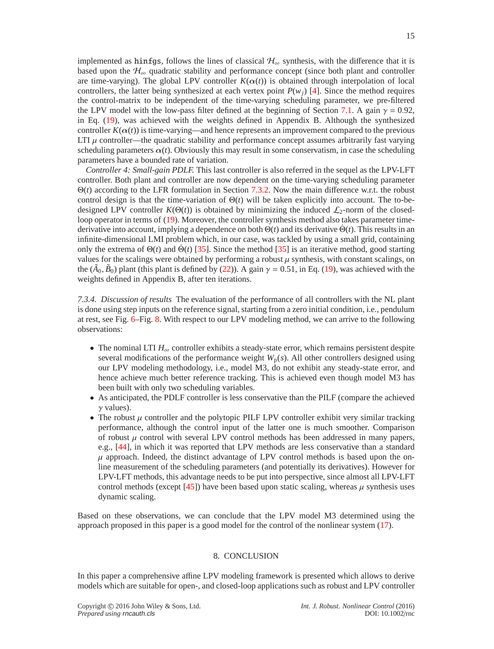implemented as hinfgs, follows the lines of classical  $H_{\infty}$  synthesis, with the difference that it is based upon the  $H_{\infty}$  quadratic stability and performance concept (since both plant and controller are time-varying). The global LPV controller  $K(\alpha(t))$  is obtained through interpolation of local controllers, the latter being synthesized at each vertex point  $P(w_i)$  [\[4\]](#page-17-19). Since the method requires the control-matrix to be independent of the time-varying scheduling parameter, we pre-filtered the LPV model with the low-pass filter defined at the beginning of Section [7.1.](#page-8-4) A gain  $\gamma = 0.92$ , in Eq. [\(19\)](#page-12-3), was achieved with the weights defined in Appendix B. Although the synthesized controller  $K(\alpha(t))$  is time-varying—and hence represents an improvement compared to the previous LTI  $\mu$  controller—the quadratic stability and performance concept assumes arbitrarily fast varying scheduling parameters  $\alpha(t)$ . Obviously this may result in some conservatism, in case the scheduling parameters have a bounded rate of variation.

*Controller 4: Small-gain PDLF.* This last controller is also referred in the sequel as the LPV-LFT controller. Both plant and controller are now dependent on the time-varying scheduling parameter Θ(*t*) according to the LFR formulation in Section [7.3.2.](#page-12-4) Now the main difference w.r.t. the robust control design is that the time-variation of  $\Theta(t)$  will be taken explicitly into account. The to-bedesigned LPV controller  $K(\Theta(t))$  is obtained by minimizing the induced  $\mathcal{L}_2$ -norm of the closedloop operator in terms of [\(19\)](#page-12-3). Moreover, the controller synthesis method also takes parameter timederivative into account, implying a dependence on both  $\Theta(t)$  and its derivative  $\dot{\Theta}(t)$ . This results in an infinite-dimensional LMI problem which, in our case, was tackled by using a small grid, containing only the extrema of  $\Theta(t)$  and  $\Theta(t)$  [\[35\]](#page-18-13). Since the method [35] is an iterative method, good starting values for the scalings were obtained by performing a robust  $\mu$  synthesis, with constant scalings, on the  $(\tilde{A}_0, \tilde{B}_0)$  plant (this plant is defined by [\(22\)](#page-12-2)). A gain  $\gamma = 0.51$ , in Eq. [\(19\)](#page-12-3), was achieved with the weights defined in Appendix B, after ten iterations.

*7.3.4. Discussion of results* The evaluation of the performance of all controllers with the NL plant is done using step inputs on the reference signal, starting from a zero initial condition, i.e., pendulum at rest, see Fig. [6–](#page-15-0)Fig. [8.](#page-15-1) With respect to our LPV modeling method, we can arrive to the following observations:

- The nominal LTI *H*<sup>∞</sup> controller exhibits a steady-state error, which remains persistent despite several modifications of the performance weight  $W_p(s)$ . All other controllers designed using our LPV modeling methodology, i.e., model M3, do not exhibit any steady-state error, and hence achieve much better reference tracking. This is achieved even though model M3 has been built with only two scheduling variables.
- As anticipated, the PDLF controller is less conservative than the PILF (compare the achieved  $\gamma$  values).
- The robust  $\mu$  controller and the polytopic PILF LPV controller exhibit very similar tracking performance, although the control input of the latter one is much smoother. Comparison of robust  $\mu$  control with several LPV control methods has been addressed in many papers, e.g., [\[44\]](#page-18-22), in which it was reported that LPV methods are less conservative than a standard  $\mu$  approach. Indeed, the distinct advantage of LPV control methods is based upon the online measurement of the scheduling parameters (and potentially its derivatives). However for LPV-LFT methods, this advantage needs to be put into perspective, since almost all LPV-LFT control methods (except [\[45\]](#page-18-23)) have been based upon static scaling, whereas  $\mu$  synthesis uses dynamic scaling.

Based on these observations, we can conclude that the LPV model M3 determined using the approach proposed in this paper is a good model for the control of the nonlinear system [\(17\)](#page-8-1).

#### 8. CONCLUSION

<span id="page-14-0"></span>In this paper a comprehensive affine LPV modeling framework is presented which allows to derive models which are suitable for open-, and closed-loop applications such as robust and LPV controller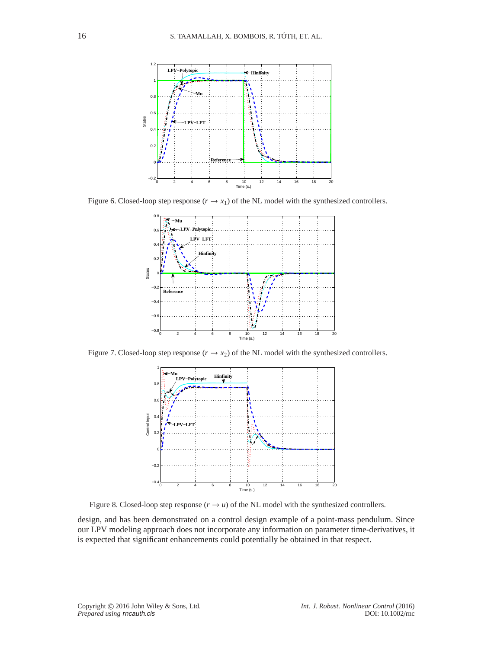<span id="page-15-0"></span>

Figure 6. Closed-loop step response  $(r \rightarrow x_1)$  of the NL model with the synthesized controllers.



<span id="page-15-1"></span>Figure 7. Closed-loop step response  $(r \rightarrow x_2)$  of the NL model with the synthesized controllers.



Figure 8. Closed-loop step response  $(r \rightarrow u)$  of the NL model with the synthesized controllers.

design, and has been demonstrated on a control design example of a point-mass pendulum. Since our LPV modeling approach does not incorporate any information on parameter time-derivatives, it is expected that significant enhancements could potentially be obtained in that respect.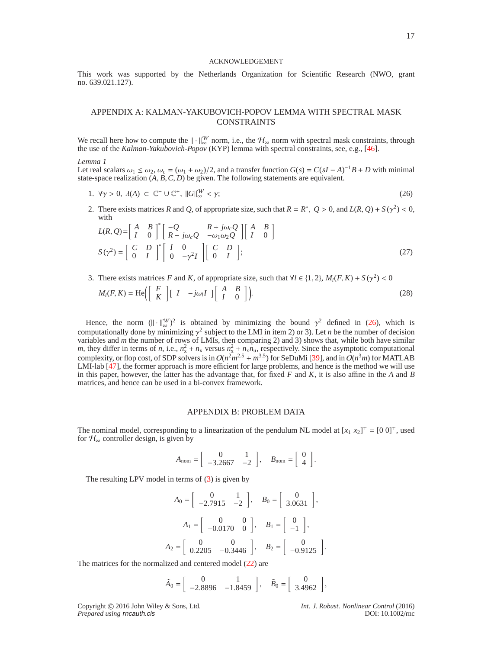#### <span id="page-16-2"></span>ACKNOWLEDGEMENT

This work was supported by the Netherlands Organization for Scientific Research (NWO, grant no. 639.021.127).

# APPENDIX A: KALMAN-YAKUBOVICH-POPOV LEMMA WITH SPECTRAL MASK CONSTRAINTS

We recall here how to compute the  $\|\cdot\|_{\infty}^W$  norm, i.e., the  $\mathcal{H}_{\infty}$  norm with spectral mask constraints, through the use of the *Kalman-Yakubovich-Popov* (KYP) lemma with spectral constraints, see, e.g., [\[46\]](#page-18-24).

## *Lemma 1*

Let real scalars  $\omega_1 \le \omega_2$ ,  $\omega_c = (\omega_1 + \omega_2)/2$ , and a transfer function  $G(s) = C(sI - A)^{-1}B + D$  with minimal state-space realization  $(A, B, C, D)$  be given. The following statements are equivalent.

- 1.  $\forall \gamma > 0, \lambda(A) \subset \mathbb{C}^{-} \cup \mathbb{C}^{+}, ||G||_{\infty}^W < \gamma;$  (26)
- 2. There exists matrices *R* and *Q*, of appropriate size, such that  $R = R^*$ ,  $Q > 0$ , and  $L(R, Q) + S(\gamma^2) < 0$ , with ∗∗ ⊶ ⊶ ⊶ ∗

$$
L(R, Q) = \begin{bmatrix} A & B \\ I & 0 \end{bmatrix}^* \begin{bmatrix} -Q & R + j\omega_c Q \\ R - j\omega_c Q & -\omega_1 \omega_2 Q \end{bmatrix} \begin{bmatrix} A & B \\ I & 0 \end{bmatrix}
$$
  

$$
S(\gamma^2) = \begin{bmatrix} C & D \\ 0 & I \end{bmatrix}^* \begin{bmatrix} I & 0 \\ 0 & -\gamma^2 I \end{bmatrix} \begin{bmatrix} C & D \\ 0 & I \end{bmatrix};
$$
 (27)

3. There exists matrices *F* and *K*, of appropriate size, such that  $\forall l \in \{1, 2\}$ ,  $M_l(F, K) + S(\gamma^2) < 0$ 

$$
M_l(F,K) = \text{He}\left(\begin{bmatrix} F \\ K \end{bmatrix} \begin{bmatrix} I & -j\omega_l I \end{bmatrix} \begin{bmatrix} A & B \\ I & 0 \end{bmatrix}\right).
$$
 (28)

Hence, the norm  $(\Vert \cdot \Vert_{\infty}^{W})^{2}$  is obtained by minimizing the bound  $\gamma^{2}$  defined in [\(26\)](#page-16-2), which is computationally done by minimizing  $\gamma^2$  subject to the LMI in item 2) or 3). Let *n* be the number of decision variables and *m* the number of rows of LMIs, then comparing 2) and 3) shows that, while both have similar *m*, they differ in terms of *n*, i.e.,  $n_x^2 + n_x$  versus  $n_x^2 + n_x n_u$ , respectively. Since the asymptotic computational complexity, or flop cost, of SDP solvers is in  $O(n^2m^{2.5} + m^{3.5})$  for SeDuMi [\[39\]](#page-18-17), and in  $O(n^3m)$  for MATLAB LMI-lab [\[47\]](#page-18-25), the former approach is more efficient for large problems, and hence is the method we will use in this paper, however, the latter has the advantage that, for fixed *F* and *K*, it is also affine in the *A* and *B* matrices, and hence can be used in a bi-convex framework.

# <span id="page-16-1"></span><span id="page-16-0"></span>APPENDIX B: PROBLEM DATA

The nominal model, corresponding to a linearization of the pendulum NL model at  $[x_1 \ x_2]^\top = [0 \ 0]^\top$ , used for  $\mathcal{H}_{\infty}$  controller design, is given by

$$
A_{\text{nom}} = \left[ \begin{array}{cc} 0 & 1 \\ -3.2667 & -2 \end{array} \right], \quad B_{\text{nom}} = \left[ \begin{array}{c} 0 \\ 4 \end{array} \right].
$$

The resulting LPV model in terms of [\(3\)](#page-3-0) is given by

$$
A_0 = \begin{bmatrix} 0 & 1 \\ -2.7915 & -2 \end{bmatrix}, \quad B_0 = \begin{bmatrix} 0 \\ 3.0631 \end{bmatrix},
$$

$$
A_1 = \begin{bmatrix} 0 & 0 \\ -0.0170 & 0 \end{bmatrix}, \quad B_1 = \begin{bmatrix} 0 \\ -1 \end{bmatrix},
$$

$$
A_2 = \begin{bmatrix} 0 & 0 \\ 0.2205 & -0.3446 \end{bmatrix}, \quad B_2 = \begin{bmatrix} 0 \\ -0.9125 \end{bmatrix}.
$$

The matrices for the normalized and centered model [\(22\)](#page-12-2) are

$$
\tilde{A}_0 = \begin{bmatrix} 0 & 1 \\ -2.8896 & -1.8459 \end{bmatrix}
$$
,  $\tilde{B}_0 = \begin{bmatrix} 0 \\ 3.4962 \end{bmatrix}$ ,

Copyright c 2016 John Wiley & Sons, Ltd. *Int. J. Robust. Nonlinear Control* (2016)

*Prepared using* rncauth.cls DOI: 10.1002/rnc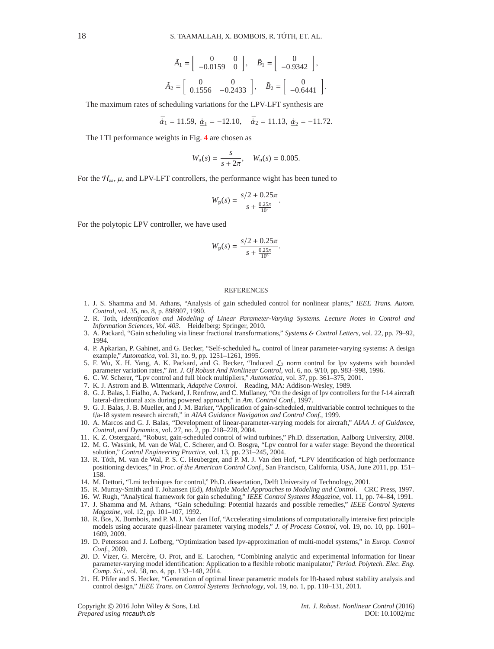$$
\tilde{A}_1 = \begin{bmatrix} 0 & 0 \\ -0.0159 & 0 \end{bmatrix}, \quad \tilde{B}_1 = \begin{bmatrix} 0 \\ -0.9342 \end{bmatrix},
$$

$$
\tilde{A}_2 = \begin{bmatrix} 0 & 0 \\ 0.1556 & -0.2433 \end{bmatrix}, \quad \tilde{B}_2 = \begin{bmatrix} 0 \\ -0.6441 \end{bmatrix}.
$$

The maximum rates of scheduling variations for the LPV-LFT synthesis are

$$
\bar{\alpha}_1 = 11.59, \ \underline{\dot{\alpha}}_1 = -12.10, \quad \bar{\dot{\alpha}}_2 = 11.13, \ \underline{\dot{\alpha}}_2 = -11.72.
$$

The LTI performance weights in Fig. [4](#page-12-0) are chosen as

$$
W_{\rm u}(s) = \frac{s}{s + 2\pi}, \quad W_{\rm n}(s) = 0.005.
$$

For the  $\mathcal{H}_{\infty}$ ,  $\mu$ , and LPV-LFT controllers, the performance wight has been tuned to

$$
W_{\rm p}(s) = \frac{s/2 + 0.25\pi}{s + \frac{0.25\pi}{10^2}}.
$$

For the polytopic LPV controller, we have used

<span id="page-17-0"></span>
$$
W_{\rm p}(s) = \frac{s/2 + 0.25\pi}{s + \frac{0.25\pi}{10^6}}.
$$

#### **REFERENCES**

- <span id="page-17-1"></span>1. J. S. Shamma and M. Athans, "Analysis of gain scheduled control for nonlinear plants," *IEEE Trans. Autom. Control*, vol. 35, no. 8, p. 898907, 1990.
- <span id="page-17-2"></span>2. R. Toth, *Identification and Modeling of Linear Parameter-Varying Systems. Lecture Notes in Control and Information Sciences, Vol. 403*. Heidelberg: Springer, 2010.
- <span id="page-17-3"></span>3. A. Packard, "Gain scheduling via linear fractional transformations," *Systems* & *Control Letters*, vol. 22, pp. 79–92, 1994.
- <span id="page-17-19"></span>4. P. Apkarian, P. Gahinet, and G. Becker, "Self-scheduled *h*<sup>∞</sup> control of linear parameter-varying systems: A design example," *Automatica*, vol. 31, no. 9, pp. 1251–1261, 1995.
- <span id="page-17-20"></span>5. F. Wu, X. H. Yang, A. K. Packard, and G. Becker, "Induced  $\mathcal{L}_2$  norm control for lpv systems with bounded parameter variation rates," *Int. J. Of Robust And Nonlinear Control*, vol. 6, no. 9/10, pp. 983–998, 1996.
- <span id="page-17-5"></span><span id="page-17-4"></span>6. C. W. Scherer, "Lpv control and full block multipliers," *Automatica*, vol. 37, pp. 361–375, 2001.
- <span id="page-17-6"></span>7. K. J. Astrom and B. Wittenmark, *Adaptive Control*. Reading, MA: Addison-Wesley, 1989.
- 8. G. J. Balas, I. Fialho, A. Packard, J. Renfrow, and C. Mullaney, "On the design of lpv controllers for the f-14 aircraft lateral-directional axis during powered approach," in *Am. Control Conf.*, 1997.
- 9. G. J. Balas, J. B. Mueller, and J. M. Barker, "Application of gain-scheduled, multivariable control techniques to the f/a-18 system research aircraft," in *AIAA Guidance Navigation and Control Conf.*, 1999.
- <span id="page-17-7"></span>10. A. Marcos and G. J. Balas, "Development of linear-parameter-varying models for aircraft," *AIAA J. of Guidance, Control, and Dynamics*, vol. 27, no. 2, pp. 218–228, 2004.
- <span id="page-17-8"></span>11. K. Z. Ostergaard, "Robust, gain-scheduled control of wind turbines," Ph.D. dissertation, Aalborg University, 2008.
- <span id="page-17-9"></span>12. M. G. Wassink, M. van de Wal, C. Scherer, and O. Bosgra, "Lpv control for a wafer stage: Beyond the theoretical solution," *Control Engineering Practice*, vol. 13, pp. 231–245, 2004.
- <span id="page-17-10"></span>13. R. Tóth, M. van de Wal, P. S. C. Heuberger, and P. M. J. Van den Hof, "LPV identification of high performance positioning devices," in *Proc. of the American Control Conf.*, San Francisco, California, USA, June 2011, pp. 151– 158.
- <span id="page-17-12"></span><span id="page-17-11"></span>14. M. Dettori, "Lmi techniques for control," Ph.D. dissertation, Delft University of Technology, 2001.
- <span id="page-17-13"></span>15. R. Murray-Smith and T. Johansen (Ed), *Multiple Model Approaches to Modeling and Control*. CRC Press, 1997.
- <span id="page-17-14"></span>16. W. Rugh, "Analytical framework for gain scheduling," *IEEE Control Systems Magazine*, vol. 11, pp. 74–84, 1991.
- 17. J. Shamma and M. Athans, "Gain scheduling: Potential hazards and possible remedies," *IEEE Control Systems Magazine*, vol. 12, pp. 101–107, 1992.
- <span id="page-17-15"></span>18. R. Bos, X. Bombois, and P. M. J. Van den Hof, "Accelerating simulations of computationally intensive first principle models using accurate quasi-linear parameter varying models," *J. of Process Control*, vol. 19, no. 10, pp. 1601– 1609, 2009.
- <span id="page-17-16"></span>19. D. Petersson and J. Lofberg, "Optimization based lpv-approximation of multi-model systems," in *Europ. Control Conf.*, 2009.
- <span id="page-17-17"></span>20. D. Vízer, G. Mercère, O. Prot, and E. Larochen, "Combining analytic and experimental information for linear parameter-varying model identification: Application to a flexible robotic manipulator," *Period. Polytech. Elec. Eng. Comp. Sci.*, vol. 58, no. 4, pp. 133–148, 2014.
- <span id="page-17-18"></span>21. H. Pfifer and S. Hecker, "Generation of optimal linear parametric models for lft-based robust stability analysis and control design," *IEEE Trans. on Control Systems Technology*, vol. 19, no. 1, pp. 118–131, 2011.